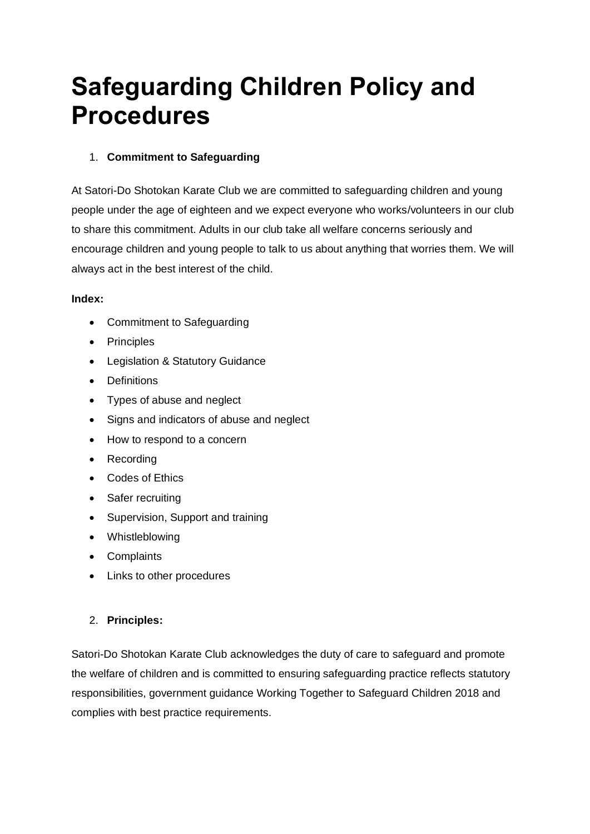# **Safeguarding Children Policy and Procedures**

# 1. **Commitment to Safeguarding**

At Satori-Do Shotokan Karate Club we are committed to safeguarding children and young people under the age of eighteen and we expect everyone who works/volunteers in our club to share this commitment. Adults in our club take all welfare concerns seriously and encourage children and young people to talk to us about anything that worries them. We will always act in the best interest of the child.

#### **Index:**

- Commitment to Safeguarding
- Principles
- Legislation & Statutory Guidance
- Definitions
- Types of abuse and neglect
- Signs and indicators of abuse and neglect
- How to respond to a concern
- Recording
- Codes of Ethics
- Safer recruiting
- Supervision, Support and training
- Whistleblowing
- Complaints
- Links to other procedures

# 2. **Principles:**

Satori-Do Shotokan Karate Club acknowledges the duty of care to safeguard and promote the welfare of children and is committed to ensuring safeguarding practice reflects statutory responsibilities, government guidance Working Together to Safeguard Children 2018 and complies with best practice requirements.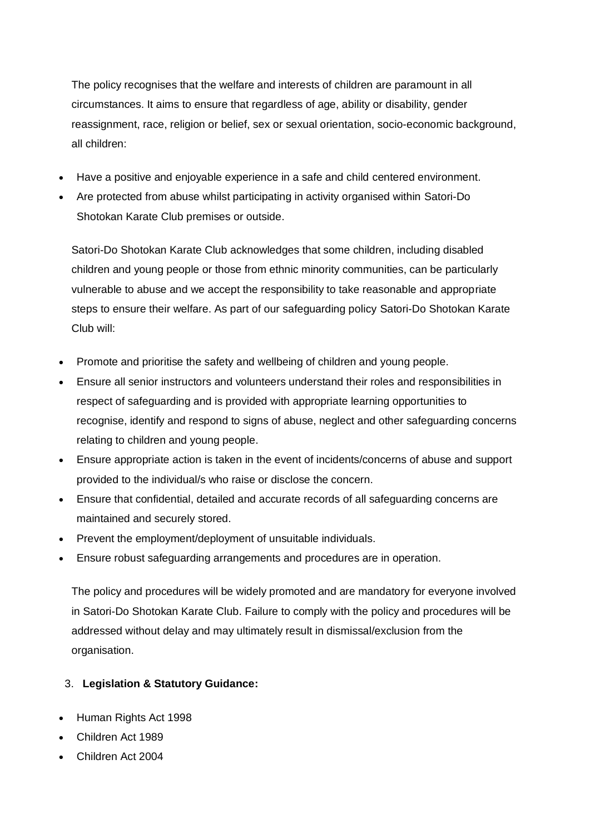The policy recognises that the welfare and interests of children are paramount in all circumstances. It aims to ensure that regardless of age, ability or disability, gender reassignment, race, religion or belief, sex or sexual orientation, socio-economic background, all children:

- Have a positive and enjoyable experience in a safe and child centered environment.
- Are protected from abuse whilst participating in activity organised within Satori-Do Shotokan Karate Club premises or outside.

Satori-Do Shotokan Karate Club acknowledges that some children, including disabled children and young people or those from ethnic minority communities, can be particularly vulnerable to abuse and we accept the responsibility to take reasonable and appropriate steps to ensure their welfare. As part of our safeguarding policy Satori-Do Shotokan Karate Club will:

- Promote and prioritise the safety and wellbeing of children and young people.
- Ensure all senior instructors and volunteers understand their roles and responsibilities in respect of safeguarding and is provided with appropriate learning opportunities to recognise, identify and respond to signs of abuse, neglect and other safeguarding concerns relating to children and young people.
- Ensure appropriate action is taken in the event of incidents/concerns of abuse and support provided to the individual/s who raise or disclose the concern.
- Ensure that confidential, detailed and accurate records of all safeguarding concerns are maintained and securely stored.
- Prevent the employment/deployment of unsuitable individuals.
- Ensure robust safeguarding arrangements and procedures are in operation.

The policy and procedures will be widely promoted and are mandatory for everyone involved in Satori-Do Shotokan Karate Club. Failure to comply with the policy and procedures will be addressed without delay and may ultimately result in dismissal/exclusion from the organisation.

#### 3. **Legislation & Statutory Guidance:**

- Human Rights Act 1998
- Children Act 1989
- Children Act 2004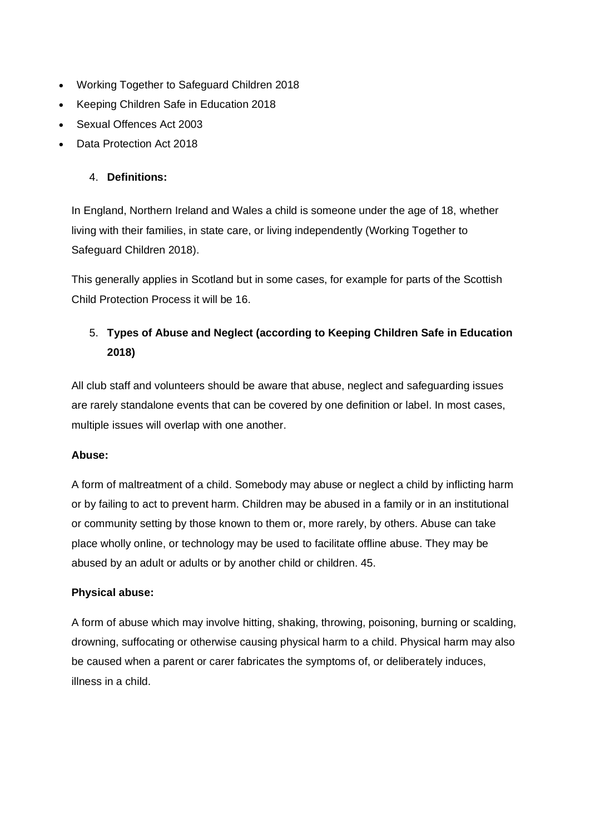- Working Together to Safeguard Children 2018
- Keeping Children Safe in Education 2018
- Sexual Offences Act 2003
- Data Protection Act 2018

# 4. **Definitions:**

In England, Northern Ireland and Wales a child is someone under the age of 18, whether living with their families, in state care, or living independently (Working Together to Safeguard Children 2018).

This generally applies in Scotland but in some cases, for example for parts of the Scottish Child Protection Process it will be 16.

# 5. **Types of Abuse and Neglect (according to Keeping Children Safe in Education 2018)**

All club staff and volunteers should be aware that abuse, neglect and safeguarding issues are rarely standalone events that can be covered by one definition or label. In most cases, multiple issues will overlap with one another.

# **Abuse:**

A form of maltreatment of a child. Somebody may abuse or neglect a child by inflicting harm or by failing to act to prevent harm. Children may be abused in a family or in an institutional or community setting by those known to them or, more rarely, by others. Abuse can take place wholly online, or technology may be used to facilitate offline abuse. They may be abused by an adult or adults or by another child or children. 45.

# **Physical abuse:**

A form of abuse which may involve hitting, shaking, throwing, poisoning, burning or scalding, drowning, suffocating or otherwise causing physical harm to a child. Physical harm may also be caused when a parent or carer fabricates the symptoms of, or deliberately induces, illness in a child.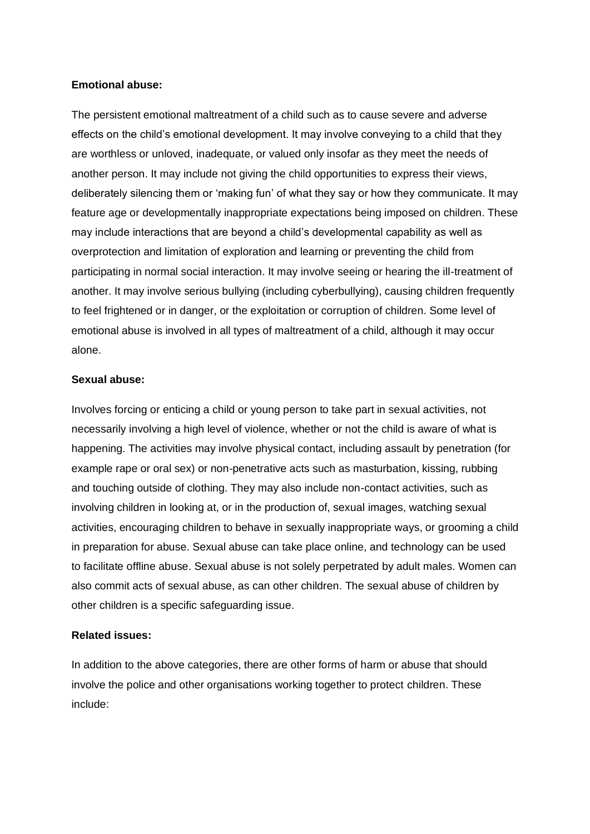#### **Emotional abuse:**

The persistent emotional maltreatment of a child such as to cause severe and adverse effects on the child's emotional development. It may involve conveying to a child that they are worthless or unloved, inadequate, or valued only insofar as they meet the needs of another person. It may include not giving the child opportunities to express their views, deliberately silencing them or 'making fun' of what they say or how they communicate. It may feature age or developmentally inappropriate expectations being imposed on children. These may include interactions that are beyond a child's developmental capability as well as overprotection and limitation of exploration and learning or preventing the child from participating in normal social interaction. It may involve seeing or hearing the ill-treatment of another. It may involve serious bullying (including cyberbullying), causing children frequently to feel frightened or in danger, or the exploitation or corruption of children. Some level of emotional abuse is involved in all types of maltreatment of a child, although it may occur alone.

#### **Sexual abuse:**

Involves forcing or enticing a child or young person to take part in sexual activities, not necessarily involving a high level of violence, whether or not the child is aware of what is happening. The activities may involve physical contact, including assault by penetration (for example rape or oral sex) or non-penetrative acts such as masturbation, kissing, rubbing and touching outside of clothing. They may also include non-contact activities, such as involving children in looking at, or in the production of, sexual images, watching sexual activities, encouraging children to behave in sexually inappropriate ways, or grooming a child in preparation for abuse. Sexual abuse can take place online, and technology can be used to facilitate offline abuse. Sexual abuse is not solely perpetrated by adult males. Women can also commit acts of sexual abuse, as can other children. The sexual abuse of children by other children is a specific safeguarding issue.

#### **Related issues:**

In addition to the above categories, there are other forms of harm or abuse that should involve the police and other organisations working together to protect children. These include: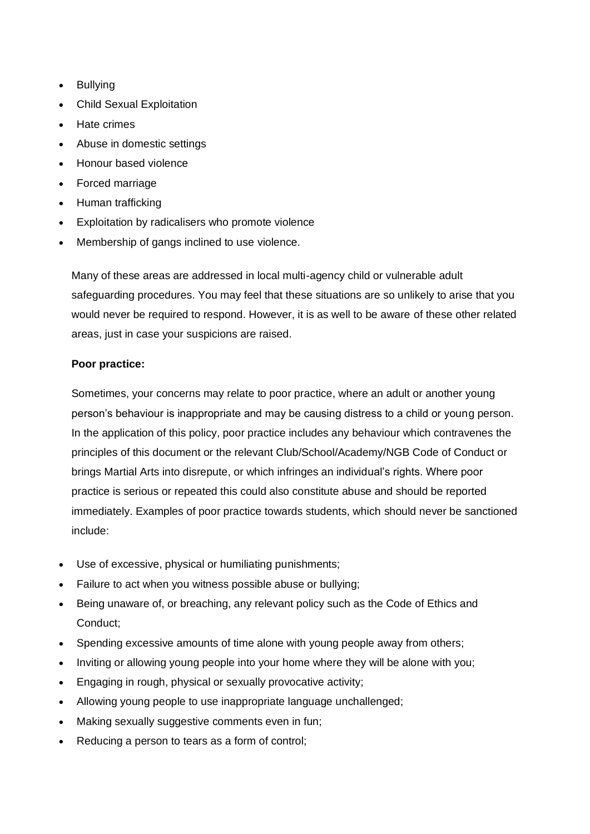- Bullying
- Child Sexual Exploitation
- Hate crimes
- Abuse in domestic settings
- Honour based violence
- Forced marriage
- Human trafficking
- Exploitation by radicalisers who promote violence
- Membership of gangs inclined to use violence.

Many of these areas are addressed in local multi-agency child or vulnerable adult safeguarding procedures. You may feel that these situations are so unlikely to arise that you would never be required to respond. However, it is as well to be aware of these other related areas, just in case your suspicions are raised.

#### **Poor practice:**

Sometimes, your concerns may relate to poor practice, where an adult or another young person's behaviour is inappropriate and may be causing distress to a child or young person. In the application of this policy, poor practice includes any behaviour which contravenes the principles of this document or the relevant Club/School/Academy/NGB Code of Conduct or brings Martial Arts into disrepute, or which infringes an individual's rights. Where poor practice is serious or repeated this could also constitute abuse and should be reported immediately. Examples of poor practice towards students, which should never be sanctioned include:

- Use of excessive, physical or humiliating punishments;
- Failure to act when you witness possible abuse or bullying;
- Being unaware of, or breaching, any relevant policy such as the Code of Ethics and Conduct;
- Spending excessive amounts of time alone with young people away from others;
- Inviting or allowing young people into your home where they will be alone with you;
- Engaging in rough, physical or sexually provocative activity;
- Allowing young people to use inappropriate language unchallenged;
- Making sexually suggestive comments even in fun;
- Reducing a person to tears as a form of control;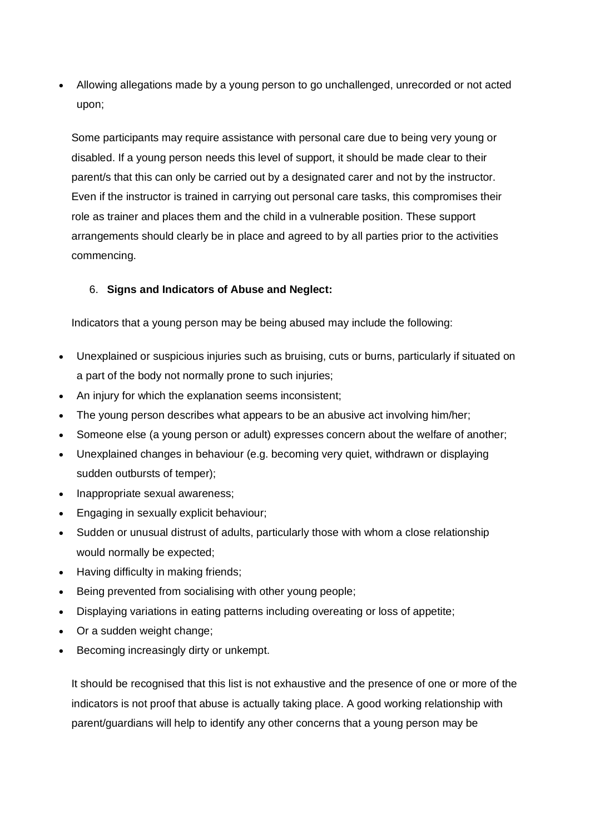• Allowing allegations made by a young person to go unchallenged, unrecorded or not acted upon;

Some participants may require assistance with personal care due to being very young or disabled. If a young person needs this level of support, it should be made clear to their parent/s that this can only be carried out by a designated carer and not by the instructor. Even if the instructor is trained in carrying out personal care tasks, this compromises their role as trainer and places them and the child in a vulnerable position. These support arrangements should clearly be in place and agreed to by all parties prior to the activities commencing.

#### 6. **Signs and Indicators of Abuse and Neglect:**

Indicators that a young person may be being abused may include the following:

- Unexplained or suspicious injuries such as bruising, cuts or burns, particularly if situated on a part of the body not normally prone to such injuries;
- An injury for which the explanation seems inconsistent;
- The young person describes what appears to be an abusive act involving him/her;
- Someone else (a young person or adult) expresses concern about the welfare of another;
- Unexplained changes in behaviour (e.g. becoming very quiet, withdrawn or displaying sudden outbursts of temper);
- Inappropriate sexual awareness;
- Engaging in sexually explicit behaviour;
- Sudden or unusual distrust of adults, particularly those with whom a close relationship would normally be expected;
- Having difficulty in making friends;
- Being prevented from socialising with other young people;
- Displaying variations in eating patterns including overeating or loss of appetite;
- Or a sudden weight change;
- Becoming increasingly dirty or unkempt.

It should be recognised that this list is not exhaustive and the presence of one or more of the indicators is not proof that abuse is actually taking place. A good working relationship with parent/guardians will help to identify any other concerns that a young person may be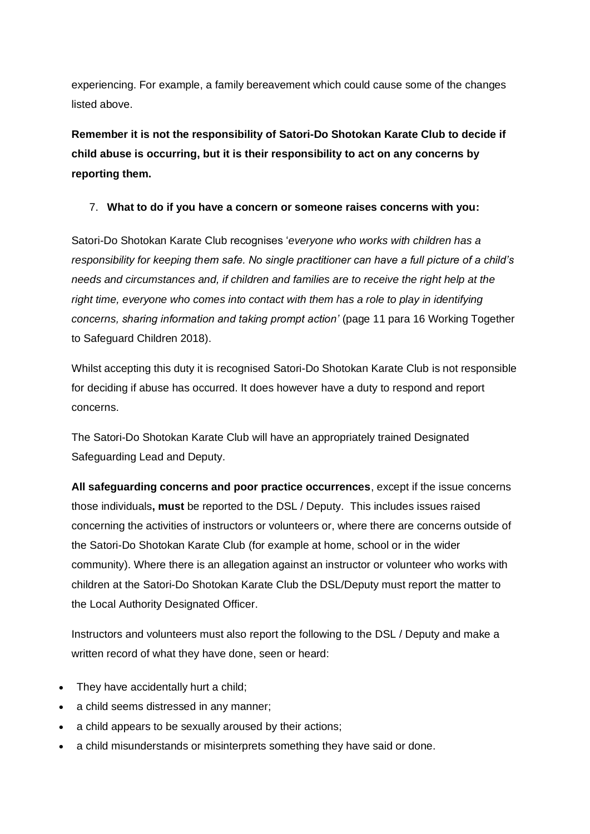experiencing. For example, a family bereavement which could cause some of the changes listed above.

**Remember it is not the responsibility of Satori-Do Shotokan Karate Club to decide if child abuse is occurring, but it is their responsibility to act on any concerns by reporting them.**

#### 7. **What to do if you have a concern or someone raises concerns with you:**

Satori-Do Shotokan Karate Club recognises '*everyone who works with children has a responsibility for keeping them safe. No single practitioner can have a full picture of a child's needs and circumstances and, if children and families are to receive the right help at the right time, everyone who comes into contact with them has a role to play in identifying concerns, sharing information and taking prompt action'* (page 11 para 16 Working Together to Safeguard Children 2018).

Whilst accepting this duty it is recognised Satori-Do Shotokan Karate Club is not responsible for deciding if abuse has occurred. It does however have a duty to respond and report concerns.

The Satori-Do Shotokan Karate Club will have an appropriately trained Designated Safeguarding Lead and Deputy.

**All safeguarding concerns and poor practice occurrences**, except if the issue concerns those individuals**, must** be reported to the DSL / Deputy. This includes issues raised concerning the activities of instructors or volunteers or, where there are concerns outside of the Satori-Do Shotokan Karate Club (for example at home, school or in the wider community). Where there is an allegation against an instructor or volunteer who works with children at the Satori-Do Shotokan Karate Club the DSL/Deputy must report the matter to the Local Authority Designated Officer.

Instructors and volunteers must also report the following to the DSL / Deputy and make a written record of what they have done, seen or heard:

- They have accidentally hurt a child;
- a child seems distressed in any manner;
- a child appears to be sexually aroused by their actions;
- a child misunderstands or misinterprets something they have said or done.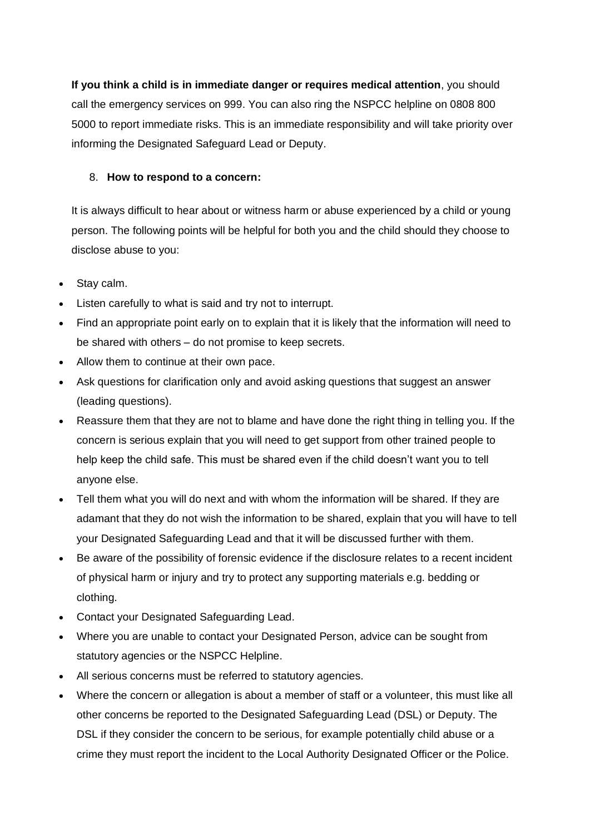**If you think a child is in immediate danger or requires medical attention**, you should call the emergency services on 999. You can also ring the NSPCC helpline on 0808 800 5000 to report immediate risks. This is an immediate responsibility and will take priority over informing the Designated Safeguard Lead or Deputy.

#### 8. **How to respond to a concern:**

It is always difficult to hear about or witness harm or abuse experienced by a child or young person. The following points will be helpful for both you and the child should they choose to disclose abuse to you:

- Stay calm.
- Listen carefully to what is said and try not to interrupt.
- Find an appropriate point early on to explain that it is likely that the information will need to be shared with others – do not promise to keep secrets.
- Allow them to continue at their own pace.
- Ask questions for clarification only and avoid asking questions that suggest an answer (leading questions).
- Reassure them that they are not to blame and have done the right thing in telling you. If the concern is serious explain that you will need to get support from other trained people to help keep the child safe. This must be shared even if the child doesn't want you to tell anyone else.
- Tell them what you will do next and with whom the information will be shared. If they are adamant that they do not wish the information to be shared, explain that you will have to tell your Designated Safeguarding Lead and that it will be discussed further with them.
- Be aware of the possibility of forensic evidence if the disclosure relates to a recent incident of physical harm or injury and try to protect any supporting materials e.g. bedding or clothing.
- Contact your Designated Safeguarding Lead.
- Where you are unable to contact your Designated Person, advice can be sought from statutory agencies or the NSPCC Helpline.
- All serious concerns must be referred to statutory agencies.
- Where the concern or allegation is about a member of staff or a volunteer, this must like all other concerns be reported to the Designated Safeguarding Lead (DSL) or Deputy. The DSL if they consider the concern to be serious, for example potentially child abuse or a crime they must report the incident to the Local Authority Designated Officer or the Police.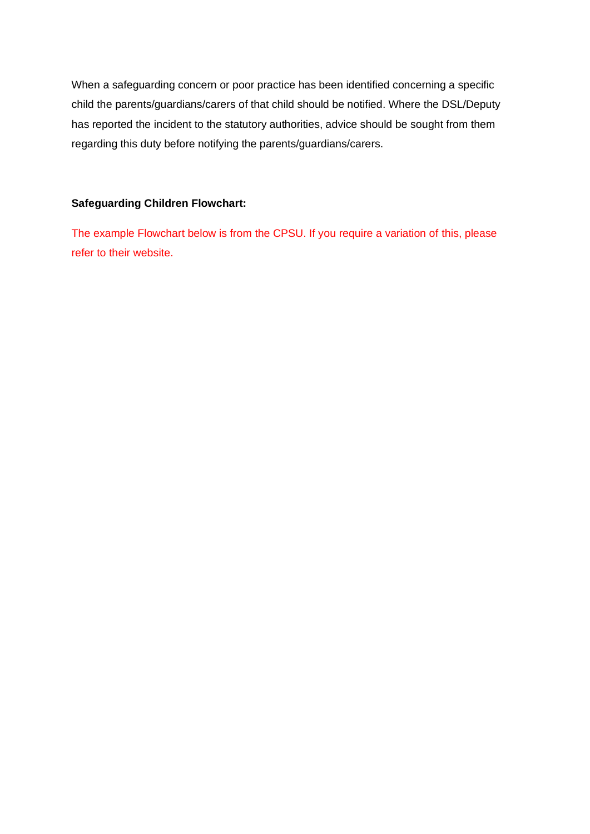When a safeguarding concern or poor practice has been identified concerning a specific child the parents/guardians/carers of that child should be notified. Where the DSL/Deputy has reported the incident to the statutory authorities, advice should be sought from them regarding this duty before notifying the parents/guardians/carers.

#### **Safeguarding Children Flowchart:**

The example Flowchart below is from the CPSU. If you require a variation of this, please refer to their website.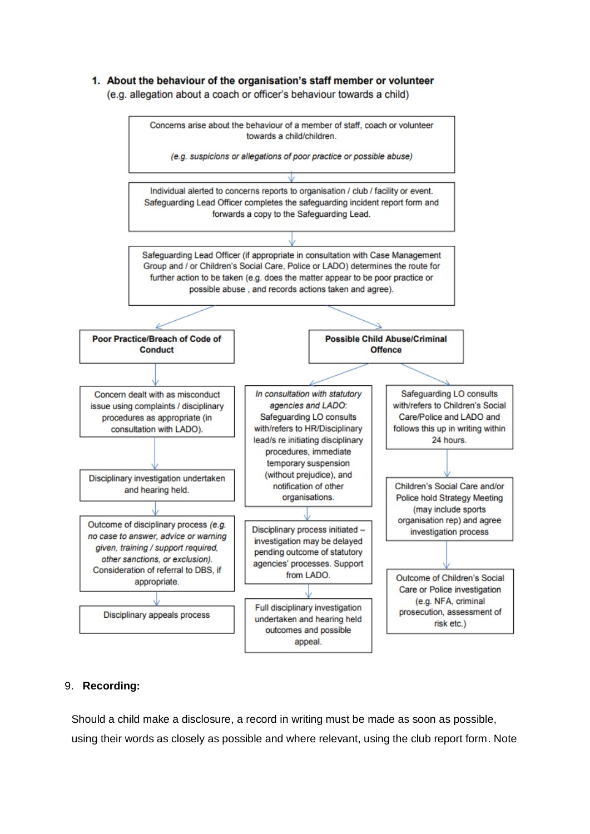#### 1. About the behaviour of the organisation's staff member or volunteer

(e.g. allegation about a coach or officer's behaviour towards a child)



#### 9. **Recording:**

Should a child make a disclosure, a record in writing must be made as soon as possible, using their words as closely as possible and where relevant, using the club report form. Note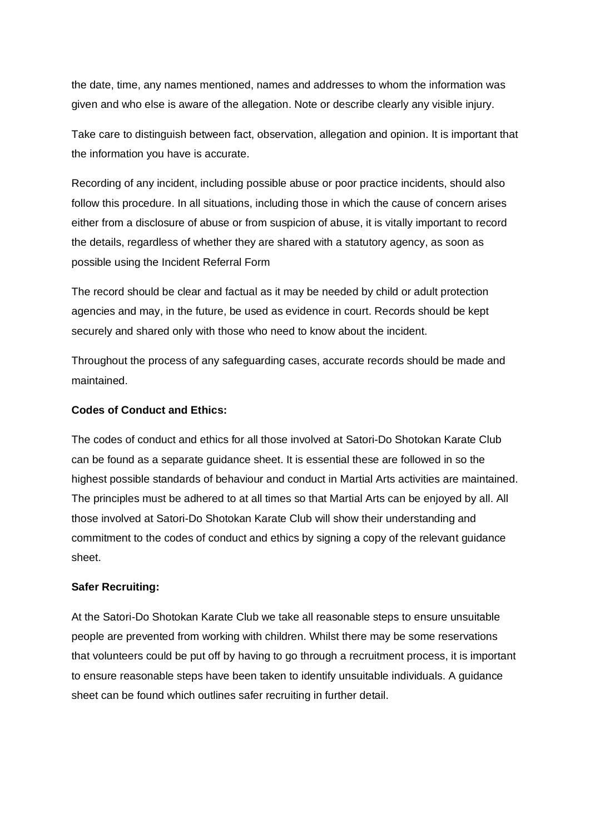the date, time, any names mentioned, names and addresses to whom the information was given and who else is aware of the allegation. Note or describe clearly any visible injury.

Take care to distinguish between fact, observation, allegation and opinion. It is important that the information you have is accurate.

Recording of any incident, including possible abuse or poor practice incidents, should also follow this procedure. In all situations, including those in which the cause of concern arises either from a disclosure of abuse or from suspicion of abuse, it is vitally important to record the details, regardless of whether they are shared with a statutory agency, as soon as possible using the Incident Referral Form

The record should be clear and factual as it may be needed by child or adult protection agencies and may, in the future, be used as evidence in court. Records should be kept securely and shared only with those who need to know about the incident.

Throughout the process of any safeguarding cases, accurate records should be made and maintained.

#### **Codes of Conduct and Ethics:**

The codes of conduct and ethics for all those involved at Satori-Do Shotokan Karate Club can be found as a separate guidance sheet. It is essential these are followed in so the highest possible standards of behaviour and conduct in Martial Arts activities are maintained. The principles must be adhered to at all times so that Martial Arts can be enjoyed by all. All those involved at Satori-Do Shotokan Karate Club will show their understanding and commitment to the codes of conduct and ethics by signing a copy of the relevant guidance sheet.

#### **Safer Recruiting:**

At the Satori-Do Shotokan Karate Club we take all reasonable steps to ensure unsuitable people are prevented from working with children. Whilst there may be some reservations that volunteers could be put off by having to go through a recruitment process, it is important to ensure reasonable steps have been taken to identify unsuitable individuals. A guidance sheet can be found which outlines safer recruiting in further detail.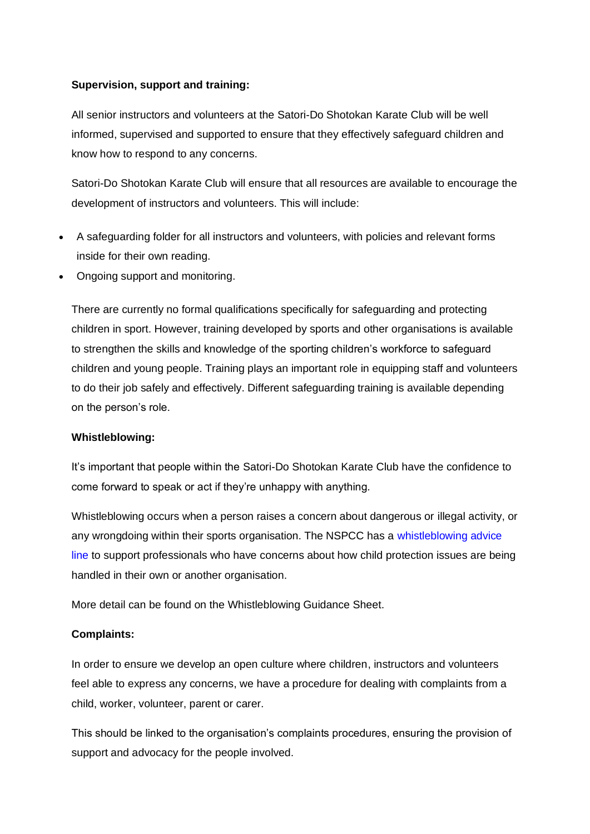#### **Supervision, support and training:**

All senior instructors and volunteers at the Satori-Do Shotokan Karate Club will be well informed, supervised and supported to ensure that they effectively safeguard children and know how to respond to any concerns.

Satori-Do Shotokan Karate Club will ensure that all resources are available to encourage the development of instructors and volunteers. This will include:

- A safeguarding folder for all instructors and volunteers, with policies and relevant forms inside for their own reading.
- Ongoing support and monitoring.

There are currently no formal qualifications specifically for safeguarding and protecting children in sport. However, training developed by sports and other organisations is available to strengthen the skills and knowledge of the sporting children's workforce to safeguard children and young people. Training plays an important role in equipping staff and volunteers to do their job safely and effectively. Different safeguarding training is available depending on the person's role.

# **Whistleblowing:**

It's important that people within the Satori-Do Shotokan Karate Club have the confidence to come forward to speak or act if they're unhappy with anything.

Whistleblowing occurs when a person raises a concern about dangerous or illegal activity, or any wrongdoing within their sports organisation. The NSPCC has a [whistleblowing advice](https://www.nspcc.org.uk/what-you-can-do/report-abuse/dedicated-helplines/whistleblowing-advice-line/)  [line](https://www.nspcc.org.uk/what-you-can-do/report-abuse/dedicated-helplines/whistleblowing-advice-line/) to support professionals who have concerns about how child protection issues are being handled in their own or another organisation.

More detail can be found on the Whistleblowing Guidance Sheet.

# **Complaints:**

In order to ensure we develop an open culture where children, instructors and volunteers feel able to express any concerns, we have a procedure for dealing with complaints from a child, worker, volunteer, parent or carer.

This should be linked to the organisation's complaints procedures, ensuring the provision of support and advocacy for the people involved.